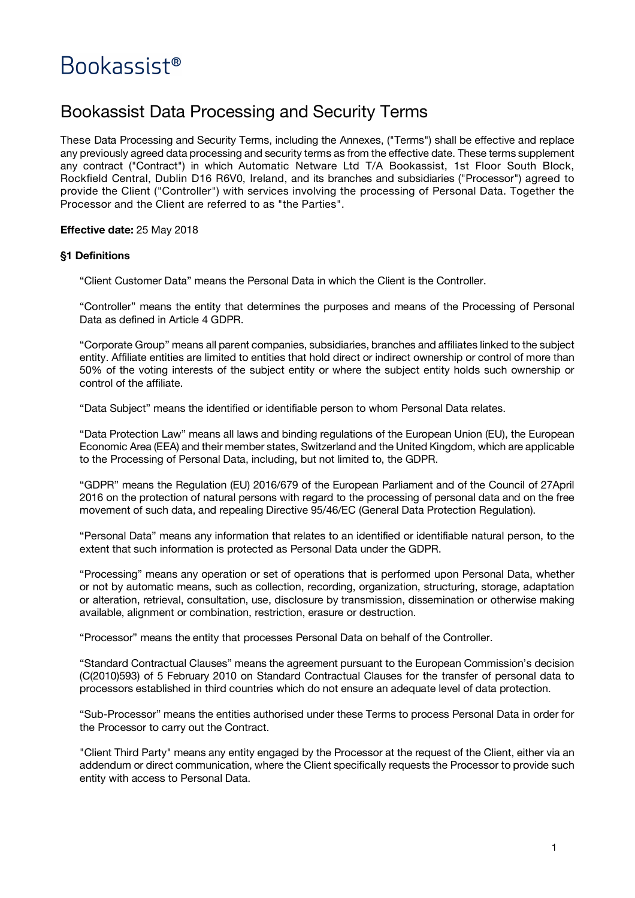# Bookassist<sup>®</sup>

## Bookassist Data Processing and Security Terms

These Data Processing and Security Terms, including the Annexes, ("Terms") shall be effective and replace any previously agreed data processing and security terms as from the effective date. These terms supplement any contract ("Contract") in which Automatic Netware Ltd T/A Bookassist, 1st Floor South Block, Rockfield Central, Dublin D16 R6V0, Ireland, and its branches and subsidiaries ("Processor") agreed to provide the Client ("Controller") with services involving the processing of Personal Data. Together the Processor and the Client are referred to as "the Parties".

#### **Effective date:** 25 May 2018

#### **§1 Definitions**

"Client Customer Data" means the Personal Data in which the Client is the Controller.

"Controller" means the entity that determines the purposes and means of the Processing of Personal Data as defined in Article 4 GDPR.

"Corporate Group" means all parent companies, subsidiaries, branches and affiliates linked to the subject entity. Affiliate entities are limited to entities that hold direct or indirect ownership or control of more than 50% of the voting interests of the subject entity or where the subject entity holds such ownership or control of the affiliate.

"Data Subject" means the identified or identifiable person to whom Personal Data relates.

"Data Protection Law" means all laws and binding regulations of the European Union (EU), the European Economic Area (EEA) and their member states, Switzerland and the United Kingdom, which are applicable to the Processing of Personal Data, including, but not limited to, the GDPR.

"GDPR" means the Regulation (EU) 2016/679 of the European Parliament and of the Council of 27April 2016 on the protection of natural persons with regard to the processing of personal data and on the free movement of such data, and repealing Directive 95/46/EC (General Data Protection Regulation).

"Personal Data" means any information that relates to an identified or identifiable natural person, to the extent that such information is protected as Personal Data under the GDPR.

"Processing" means any operation or set of operations that is performed upon Personal Data, whether or not by automatic means, such as collection, recording, organization, structuring, storage, adaptation or alteration, retrieval, consultation, use, disclosure by transmission, dissemination or otherwise making available, alignment or combination, restriction, erasure or destruction.

"Processor" means the entity that processes Personal Data on behalf of the Controller.

"Standard Contractual Clauses" means the agreement pursuant to the European Commission's decision (C(2010)593) of 5 February 2010 on Standard Contractual Clauses for the transfer of personal data to processors established in third countries which do not ensure an adequate level of data protection.

"Sub-Processor" means the entities authorised under these Terms to process Personal Data in order for the Processor to carry out the Contract.

"Client Third Party" means any entity engaged by the Processor at the request of the Client, either via an addendum or direct communication, where the Client specifically requests the Processor to provide such entity with access to Personal Data.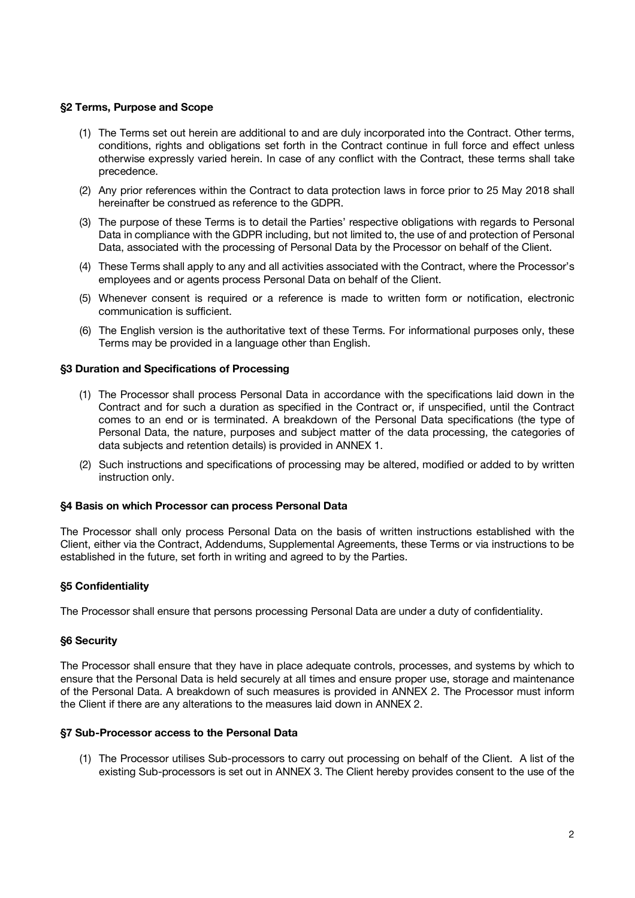#### **§2 Terms, Purpose and Scope**

- (1) The Terms set out herein are additional to and are duly incorporated into the Contract. Other terms, conditions, rights and obligations set forth in the Contract continue in full force and effect unless otherwise expressly varied herein. In case of any conflict with the Contract, these terms shall take precedence.
- (2) Any prior references within the Contract to data protection laws in force prior to 25 May 2018 shall hereinafter be construed as reference to the GDPR.
- (3) The purpose of these Terms is to detail the Parties' respective obligations with regards to Personal Data in compliance with the GDPR including, but not limited to, the use of and protection of Personal Data, associated with the processing of Personal Data by the Processor on behalf of the Client.
- (4) These Terms shall apply to any and all activities associated with the Contract, where the Processor's employees and or agents process Personal Data on behalf of the Client.
- (5) Whenever consent is required or a reference is made to written form or notification, electronic communication is sufficient.
- (6) The English version is the authoritative text of these Terms. For informational purposes only, these Terms may be provided in a language other than English.

#### **§3 Duration and Specifications of Processing**

- (1) The Processor shall process Personal Data in accordance with the specifications laid down in the Contract and for such a duration as specified in the Contract or, if unspecified, until the Contract comes to an end or is terminated. A breakdown of the Personal Data specifications (the type of Personal Data, the nature, purposes and subject matter of the data processing, the categories of data subjects and retention details) is provided in ANNEX 1.
- (2) Such instructions and specifications of processing may be altered, modified or added to by written instruction only.

#### **§4 Basis on which Processor can process Personal Data**

The Processor shall only process Personal Data on the basis of written instructions established with the Client, either via the Contract, Addendums, Supplemental Agreements, these Terms or via instructions to be established in the future, set forth in writing and agreed to by the Parties.

#### **§5 Confidentiality**

The Processor shall ensure that persons processing Personal Data are under a duty of confidentiality.

#### **§6 Security**

The Processor shall ensure that they have in place adequate controls, processes, and systems by which to ensure that the Personal Data is held securely at all times and ensure proper use, storage and maintenance of the Personal Data. A breakdown of such measures is provided in ANNEX 2. The Processor must inform the Client if there are any alterations to the measures laid down in ANNEX 2.

#### **§7 Sub-Processor access to the Personal Data**

(1) The Processor utilises Sub-processors to carry out processing on behalf of the Client. A list of the existing Sub-processors is set out in ANNEX 3. The Client hereby provides consent to the use of the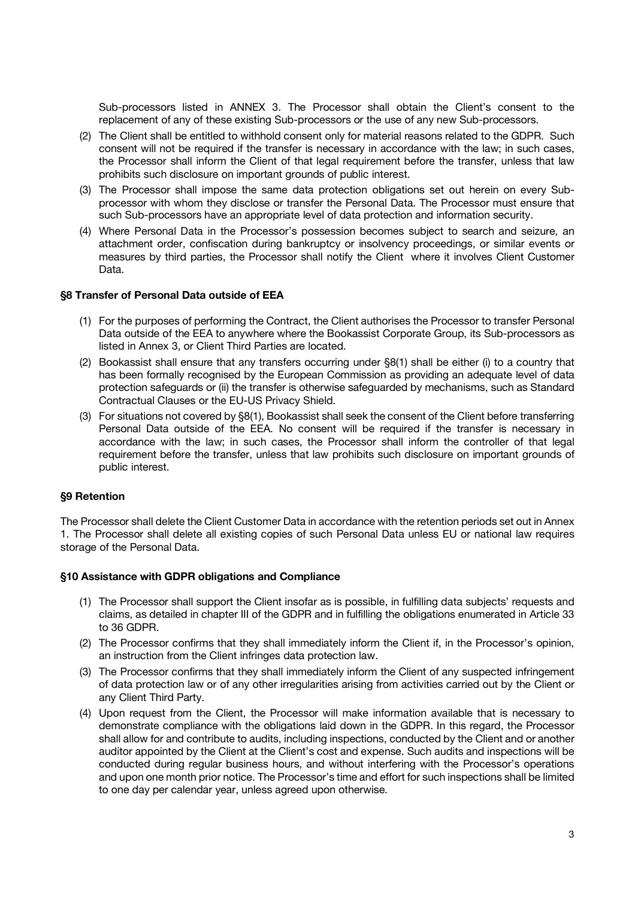Sub-processors listed in ANNEX 3. The Processor shall obtain the Client's consent to the replacement of any of these existing Sub-processors or the use of any new Sub-processors.

- (2) The Client shall be entitled to withhold consent only for material reasons related to the GDPR. Such consent will not be required if the transfer is necessary in accordance with the law; in such cases, the Processor shall inform the Client of that legal requirement before the transfer, unless that law prohibits such disclosure on important grounds of public interest.
- (3) The Processor shall impose the same data protection obligations set out herein on every Subprocessor with whom they disclose or transfer the Personal Data. The Processor must ensure that such Sub-processors have an appropriate level of data protection and information security.
- (4) Where Personal Data in the Processor's possession becomes subject to search and seizure, an attachment order, confiscation during bankruptcy or insolvency proceedings, or similar events or measures by third parties, the Processor shall notify the Client where it involves Client Customer Data.

#### **§8 Transfer of Personal Data outside of EEA**

- (1) For the purposes of performing the Contract, the Client authorises the Processor to transfer Personal Data outside of the EEA to anywhere where the Bookassist Corporate Group, its Sub-processors as listed in Annex 3, or Client Third Parties are located.
- (2) Bookassist shall ensure that any transfers occurring under §8(1) shall be either (i) to a country that has been formally recognised by the European Commission as providing an adequate level of data protection safeguards or (ii) the transfer is otherwise safeguarded by mechanisms, such as Standard Contractual Clauses or the EU-US Privacy Shield.
- (3) For situations not covered by §8(1), Bookassist shall seek the consent of the Client before transferring Personal Data outside of the EEA. No consent will be required if the transfer is necessary in accordance with the law; in such cases, the Processor shall inform the controller of that legal requirement before the transfer, unless that law prohibits such disclosure on important grounds of public interest.

#### **§9 Retention**

The Processor shall delete the Client Customer Data in accordance with the retention periods set out in Annex 1. The Processor shall delete all existing copies of such Personal Data unless EU or national law requires storage of the Personal Data.

#### **§10 Assistance with GDPR obligations and Compliance**

- (1) The Processor shall support the Client insofar as is possible, in fulfilling data subjects' requests and claims, as detailed in chapter III of the GDPR and in fulfilling the obligations enumerated in Article 33 to 36 GDPR.
- (2) The Processor confirms that they shall immediately inform the Client if, in the Processor's opinion, an instruction from the Client infringes data protection law.
- (3) The Processor confirms that they shall immediately inform the Client of any suspected infringement of data protection law or of any other irregularities arising from activities carried out by the Client or any Client Third Party.
- (4) Upon request from the Client, the Processor will make information available that is necessary to demonstrate compliance with the obligations laid down in the GDPR. In this regard, the Processor shall allow for and contribute to audits, including inspections, conducted by the Client and or another auditor appointed by the Client at the Client's cost and expense. Such audits and inspections will be conducted during regular business hours, and without interfering with the Processor's operations and upon one month prior notice. The Processor's time and effort for such inspections shall be limited to one day per calendar year, unless agreed upon otherwise.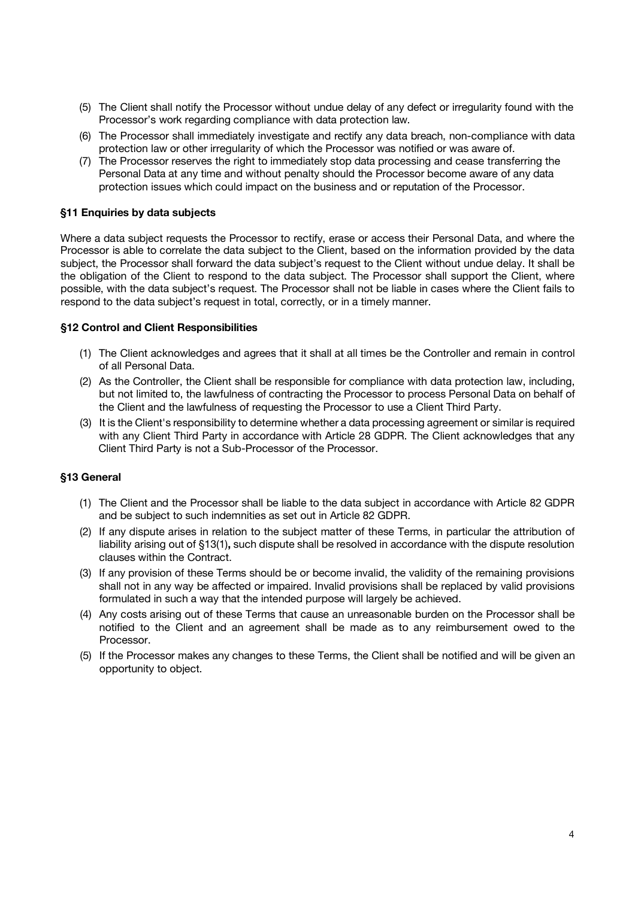- (5) The Client shall notify the Processor without undue delay of any defect or irregularity found with the Processor's work regarding compliance with data protection law.
- (6) The Processor shall immediately investigate and rectify any data breach, non-compliance with data protection law or other irregularity of which the Processor was notified or was aware of.
- (7) The Processor reserves the right to immediately stop data processing and cease transferring the Personal Data at any time and without penalty should the Processor become aware of any data protection issues which could impact on the business and or reputation of the Processor.

#### **§11 Enquiries by data subjects**

Where a data subject requests the Processor to rectify, erase or access their Personal Data, and where the Processor is able to correlate the data subject to the Client, based on the information provided by the data subject, the Processor shall forward the data subject's request to the Client without undue delay. It shall be the obligation of the Client to respond to the data subject. The Processor shall support the Client, where possible, with the data subject's request. The Processor shall not be liable in cases where the Client fails to respond to the data subject's request in total, correctly, or in a timely manner.

#### **§12 Control and Client Responsibilities**

- (1) The Client acknowledges and agrees that it shall at all times be the Controller and remain in control of all Personal Data.
- (2) As the Controller, the Client shall be responsible for compliance with data protection law, including, but not limited to, the lawfulness of contracting the Processor to process Personal Data on behalf of the Client and the lawfulness of requesting the Processor to use a Client Third Party.
- (3) It is the Client's responsibility to determine whether a data processing agreement or similar is required with any Client Third Party in accordance with Article 28 GDPR. The Client acknowledges that any Client Third Party is not a Sub-Processor of the Processor.

#### **§13 General**

- (1) The Client and the Processor shall be liable to the data subject in accordance with Article 82 GDPR and be subject to such indemnities as set out in Article 82 GDPR.
- (2) If any dispute arises in relation to the subject matter of these Terms, in particular the attribution of liability arising out of §13(1)**,** such dispute shall be resolved in accordance with the dispute resolution clauses within the Contract.
- (3) If any provision of these Terms should be or become invalid, the validity of the remaining provisions shall not in any way be affected or impaired. Invalid provisions shall be replaced by valid provisions formulated in such a way that the intended purpose will largely be achieved.
- (4) Any costs arising out of these Terms that cause an unreasonable burden on the Processor shall be notified to the Client and an agreement shall be made as to any reimbursement owed to the Processor.
- (5) If the Processor makes any changes to these Terms, the Client shall be notified and will be given an opportunity to object.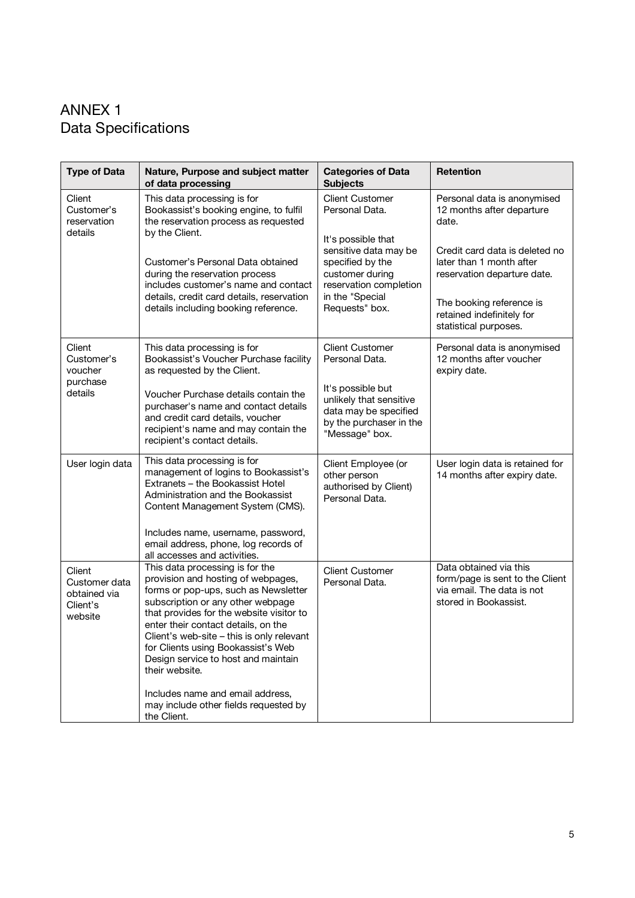### ANNEX 1 Data Specifications

| <b>Type of Data</b>                                            | Nature, Purpose and subject matter<br>of data processing                                                                                                                                                                                                                                                                                                                                                                                                                      | <b>Categories of Data</b><br><b>Subjects</b>                                                                                                                                                  | <b>Retention</b>                                                                                                 |
|----------------------------------------------------------------|-------------------------------------------------------------------------------------------------------------------------------------------------------------------------------------------------------------------------------------------------------------------------------------------------------------------------------------------------------------------------------------------------------------------------------------------------------------------------------|-----------------------------------------------------------------------------------------------------------------------------------------------------------------------------------------------|------------------------------------------------------------------------------------------------------------------|
| Client<br>Customer's<br>reservation<br>details                 | This data processing is for<br>Bookassist's booking engine, to fulfil<br>the reservation process as requested<br>by the Client.<br>Customer's Personal Data obtained<br>during the reservation process<br>includes customer's name and contact<br>details, credit card details, reservation<br>details including booking reference.                                                                                                                                           | <b>Client Customer</b><br>Personal Data.<br>It's possible that<br>sensitive data may be<br>specified by the<br>customer during<br>reservation completion<br>in the "Special<br>Requests" box. | Personal data is anonymised<br>12 months after departure<br>date.                                                |
|                                                                |                                                                                                                                                                                                                                                                                                                                                                                                                                                                               |                                                                                                                                                                                               | Credit card data is deleted no<br>later than 1 month after<br>reservation departure date.                        |
|                                                                |                                                                                                                                                                                                                                                                                                                                                                                                                                                                               |                                                                                                                                                                                               | The booking reference is<br>retained indefinitely for<br>statistical purposes.                                   |
| Client<br>Customer's<br>voucher<br>purchase<br>details         | This data processing is for<br>Bookassist's Voucher Purchase facility<br>as requested by the Client.                                                                                                                                                                                                                                                                                                                                                                          | <b>Client Customer</b><br>Personal Data.                                                                                                                                                      | Personal data is anonymised<br>12 months after voucher<br>expiry date.                                           |
|                                                                | Voucher Purchase details contain the<br>purchaser's name and contact details<br>and credit card details, voucher<br>recipient's name and may contain the<br>recipient's contact details.                                                                                                                                                                                                                                                                                      | It's possible but<br>unlikely that sensitive<br>data may be specified<br>by the purchaser in the<br>"Message" box.                                                                            |                                                                                                                  |
| User login data                                                | This data processing is for<br>management of logins to Bookassist's<br>Extranets - the Bookassist Hotel<br>Administration and the Bookassist<br>Content Management System (CMS).                                                                                                                                                                                                                                                                                              | Client Employee (or<br>other person<br>authorised by Client)<br>Personal Data.                                                                                                                | User login data is retained for<br>14 months after expiry date.                                                  |
|                                                                | Includes name, username, password,<br>email address, phone, log records of<br>all accesses and activities.                                                                                                                                                                                                                                                                                                                                                                    |                                                                                                                                                                                               |                                                                                                                  |
| Client<br>Customer data<br>obtained via<br>Client's<br>website | This data processing is for the<br>provision and hosting of webpages,<br>forms or pop-ups, such as Newsletter<br>subscription or any other webpage<br>that provides for the website visitor to<br>enter their contact details, on the<br>Client's web-site - this is only relevant<br>for Clients using Bookassist's Web<br>Design service to host and maintain<br>their website.<br>Includes name and email address,<br>may include other fields requested by<br>the Client. | <b>Client Customer</b><br>Personal Data.                                                                                                                                                      | Data obtained via this<br>form/page is sent to the Client<br>via email. The data is not<br>stored in Bookassist. |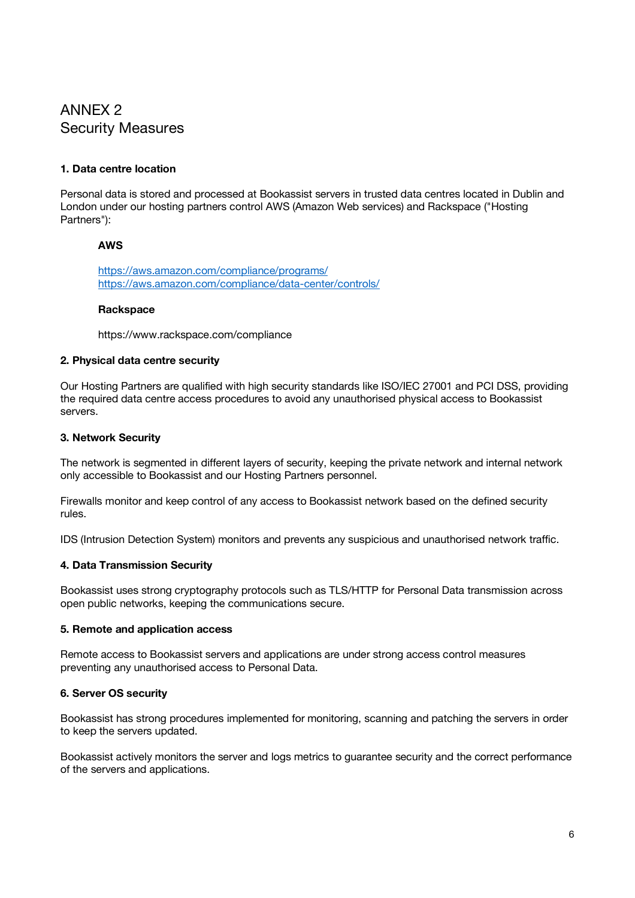### ANNEX 2 Security Measures

#### **1. Data centre location**

Personal data is stored and processed at Bookassist servers in trusted data centres located in Dublin and London under our hosting partners control AWS (Amazon Web services) and Rackspace ("Hosting Partners"):

#### **AWS**

https://aws.amazon.com/compliance/programs/ https://aws.amazon.com/compliance/data-center/controls/

#### **Rackspace**

https://www.rackspace.com/compliance

#### **2. Physical data centre security**

Our Hosting Partners are qualified with high security standards like ISO/IEC 27001 and PCI DSS, providing the required data centre access procedures to avoid any unauthorised physical access to Bookassist servers.

#### **3. Network Security**

The network is segmented in different layers of security, keeping the private network and internal network only accessible to Bookassist and our Hosting Partners personnel.

Firewalls monitor and keep control of any access to Bookassist network based on the defined security rules.

IDS (Intrusion Detection System) monitors and prevents any suspicious and unauthorised network traffic.

#### **4. Data Transmission Security**

Bookassist uses strong cryptography protocols such as TLS/HTTP for Personal Data transmission across open public networks, keeping the communications secure.

#### **5. Remote and application access**

Remote access to Bookassist servers and applications are under strong access control measures preventing any unauthorised access to Personal Data.

#### **6. Server OS security**

Bookassist has strong procedures implemented for monitoring, scanning and patching the servers in order to keep the servers updated.

Bookassist actively monitors the server and logs metrics to guarantee security and the correct performance of the servers and applications.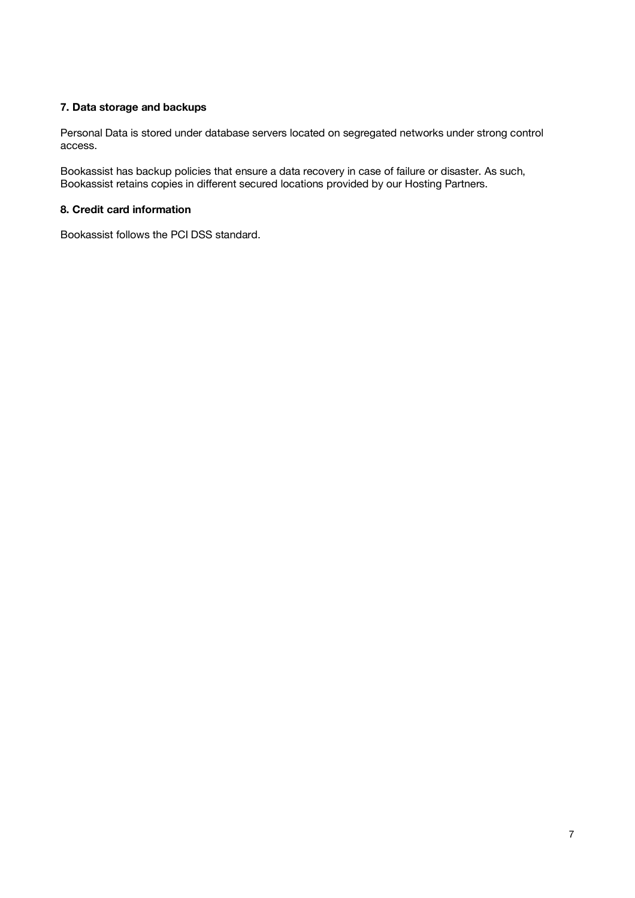#### **7. Data storage and backups**

Personal Data is stored under database servers located on segregated networks under strong control access.

Bookassist has backup policies that ensure a data recovery in case of failure or disaster. As such, Bookassist retains copies in different secured locations provided by our Hosting Partners.

#### **8. Credit card information**

Bookassist follows the PCI DSS standard.